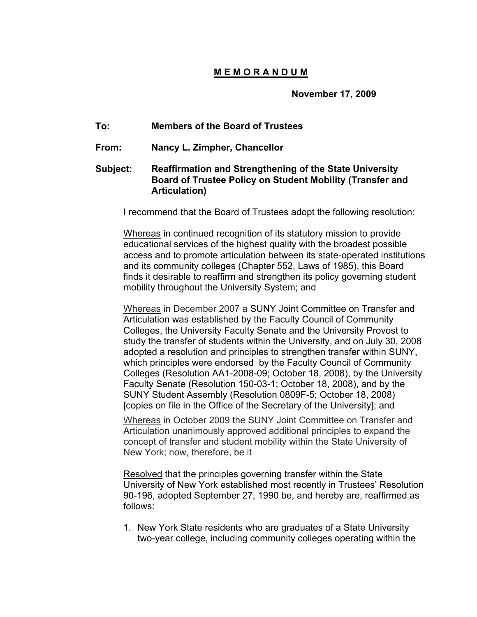## **M E M O R A N D U M**

**November 17, 2009**

## **To: Members of the Board of Trustees**

**From: Nancy L. Zimpher, Chancellor**

## **Subject: Reaffirmation and Strengthening of the State University Board of Trustee Policy on Student Mobility (Transfer and Articulation)**

I recommend that the Board of Trustees adopt the following resolution:

Whereas in continued recognition of its statutory mission to provide educational services of the highest quality with the broadest possible access and to promote articulation between its state-operated institutions and its community colleges (Chapter 552, Laws of 1985), this Board finds it desirable to reaffirm and strengthen its policy governing student mobility throughout the University System; and

Whereas in December 2007 a SUNY Joint Committee on Transfer and Articulation was established by the Faculty Council of Community Colleges, the University Faculty Senate and the University Provost to study the transfer of students within the University, and on July 30, 2008 adopted a resolution and principles to strengthen transfer within SUNY, which principles were endorsed by the Faculty Council of Community Colleges (Resolution AA1-2008-09; October 18, 2008), by the University Faculty Senate (Resolution 150-03-1; October 18, 2008), and by the SUNY Student Assembly (Resolution 0809F-5; October 18, 2008) [copies on file in the Office of the Secretary of the University]; and

Whereas in October 2009 the SUNY Joint Committee on Transfer and Articulation unanimously approved additional principles to expand the concept of transfer and student mobility within the State University of New York; now, therefore, be it

Resolved that the principles governing transfer within the State University of New York established most recently in Trustees' Resolution 90-196, adopted September 27, 1990 be, and hereby are, reaffirmed as follows:

1. New York State residents who are graduates of a State University two-year college, including community colleges operating within the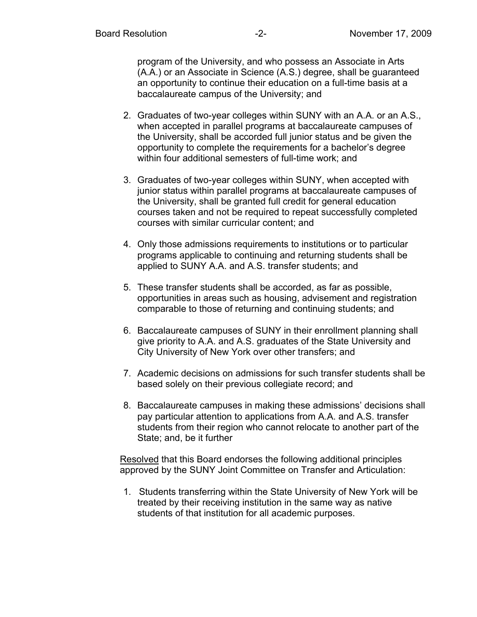program of the University, and who possess an Associate in Arts (A.A.) or an Associate in Science (A.S.) degree, shall be guaranteed an opportunity to continue their education on a full-time basis at a baccalaureate campus of the University; and

- 2. Graduates of two-year colleges within SUNY with an A.A. or an A.S., when accepted in parallel programs at baccalaureate campuses of the University, shall be accorded full junior status and be given the opportunity to complete the requirements for a bachelor's degree within four additional semesters of full-time work; and
- 3. Graduates of two-year colleges within SUNY, when accepted with junior status within parallel programs at baccalaureate campuses of the University, shall be granted full credit for general education courses taken and not be required to repeat successfully completed courses with similar curricular content; and
- 4. Only those admissions requirements to institutions or to particular programs applicable to continuing and returning students shall be applied to SUNY A.A. and A.S. transfer students; and
- 5. These transfer students shall be accorded, as far as possible, opportunities in areas such as housing, advisement and registration comparable to those of returning and continuing students; and
- 6. Baccalaureate campuses of SUNY in their enrollment planning shall give priority to A.A. and A.S. graduates of the State University and City University of New York over other transfers; and
- 7. Academic decisions on admissions for such transfer students shall be based solely on their previous collegiate record; and
- 8. Baccalaureate campuses in making these admissions' decisions shall pay particular attention to applications from A.A. and A.S. transfer students from their region who cannot relocate to another part of the State; and, be it further

Resolved that this Board endorses the following additional principles approved by the SUNY Joint Committee on Transfer and Articulation:

1. Students transferring within the State University of New York will be treated by their receiving institution in the same way as native students of that institution for all academic purposes.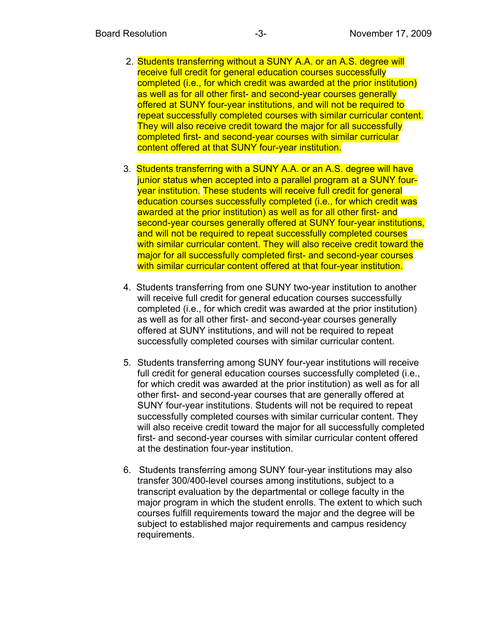- 2. Students transferring without a SUNY A.A. or an A.S. degree will receive full credit for general education courses successfully completed (i.e., for which credit was awarded at the prior institution) as well as for all other first- and second-year courses generally offered at SUNY four-year institutions, and will not be required to repeat successfully completed courses with similar curricular content. They will also receive credit toward the major for all successfully completed first- and second-year courses with similar curricular content offered at that SUNY four-year institution.
- 3. Students transferring with a SUNY A.A. or an A.S. degree will have junior status when accepted into a parallel program at a SUNY fouryear institution. These students will receive full credit for general education courses successfully completed (i.e., for which credit was awarded at the prior institution) as well as for all other first- and second-year courses generally offered at SUNY four-year institutions, and will not be required to repeat successfully completed courses with similar curricular content. They will also receive credit toward the major for all successfully completed first- and second-year courses with similar curricular content offered at that four-year institution.
- 4. Students transferring from one SUNY two-year institution to another will receive full credit for general education courses successfully completed (i.e., for which credit was awarded at the prior institution) as well as for all other first- and second-year courses generally offered at SUNY institutions, and will not be required to repeat successfully completed courses with similar curricular content.
- 5. Students transferring among SUNY four-year institutions will receive full credit for general education courses successfully completed (i.e., for which credit was awarded at the prior institution) as well as for all other first- and second-year courses that are generally offered at SUNY four-year institutions. Students will not be required to repeat successfully completed courses with similar curricular content. They will also receive credit toward the major for all successfully completed first- and second-year courses with similar curricular content offered at the destination four-year institution.
- 6. Students transferring among SUNY four-year institutions may also transfer 300/400-level courses among institutions, subject to a transcript evaluation by the departmental or college faculty in the major program in which the student enrolls. The extent to which such courses fulfill requirements toward the major and the degree will be subject to established major requirements and campus residency requirements.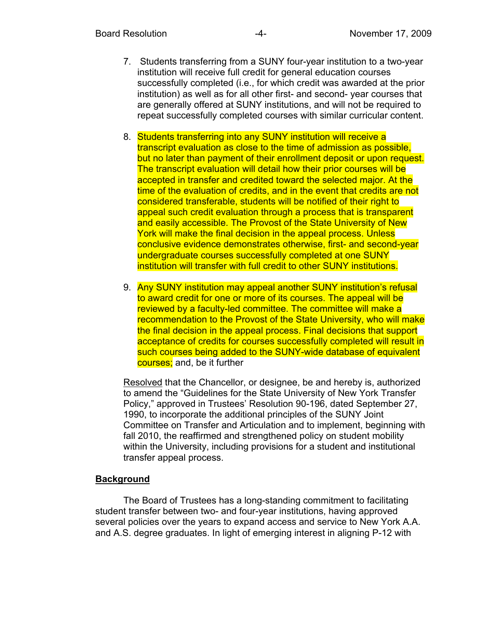- 7. Students transferring from a SUNY four-year institution to a two-year institution will receive full credit for general education courses successfully completed (i.e., for which credit was awarded at the prior institution) as well as for all other first- and second- year courses that are generally offered at SUNY institutions, and will not be required to repeat successfully completed courses with similar curricular content.
- 8. Students transferring into any SUNY institution will receive a transcript evaluation as close to the time of admission as possible, but no later than payment of their enrollment deposit or upon request. The transcript evaluation will detail how their prior courses will be accepted in transfer and credited toward the selected major. At the time of the evaluation of credits, and in the event that credits are not considered transferable, students will be notified of their right to appeal such credit evaluation through a process that is transparent and easily accessible. The Provost of the State University of New York will make the final decision in the appeal process. Unless conclusive evidence demonstrates otherwise, first- and second-year undergraduate courses successfully completed at one SUNY institution will transfer with full credit to other SUNY institutions.
- 9. Any SUNY institution may appeal another SUNY institution's refusal to award credit for one or more of its courses. The appeal will be reviewed by a faculty-led committee. The committee will make a recommendation to the Provost of the State University, who will make the final decision in the appeal process. Final decisions that support acceptance of credits for courses successfully completed will result in such courses being added to the SUNY-wide database of equivalent courses; and, be it further

Resolved that the Chancellor, or designee, be and hereby is, authorized to amend the "Guidelines for the State University of New York Transfer Policy," approved in Trustees' Resolution 90-196, dated September 27, 1990, to incorporate the additional principles of the SUNY Joint Committee on Transfer and Articulation and to implement, beginning with fall 2010, the reaffirmed and strengthened policy on student mobility within the University, including provisions for a student and institutional transfer appeal process.

## **Background**

The Board of Trustees has a long-standing commitment to facilitating student transfer between two- and four-year institutions, having approved several policies over the years to expand access and service to New York A.A. and A.S. degree graduates. In light of emerging interest in aligning P-12 with